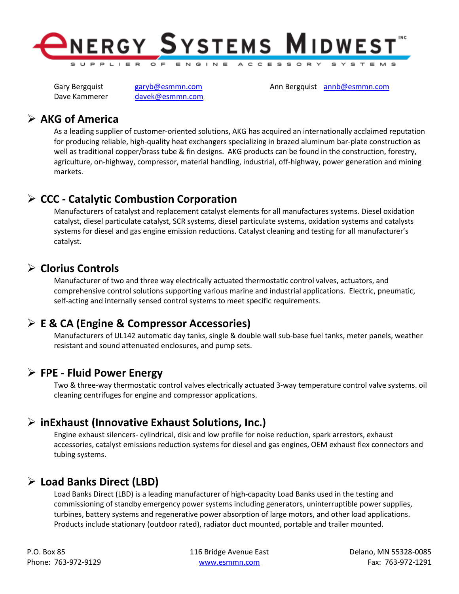

Dave Kammerer davek@esmmn.com

Gary Bergquist garyb@esmmn.com Ann Bergquist annb@esmmn.com

### $\triangleright$  AKG of America

As a leading supplier of customer-oriented solutions, AKG has acquired an internationally acclaimed reputation for producing reliable, high-quality heat exchangers specializing in brazed aluminum bar-plate construction as well as traditional copper/brass tube & fin designs. AKG products can be found in the construction, forestry, agriculture, on-highway, compressor, material handling, industrial, off-highway, power generation and mining markets.

# $\triangleright$  CCC - Catalytic Combustion Corporation

Manufacturers of catalyst and replacement catalyst elements for all manufactures systems. Diesel oxidation catalyst, diesel particulate catalyst, SCR systems, diesel particulate systems, oxidation systems and catalysts systems for diesel and gas engine emission reductions. Catalyst cleaning and testing for all manufacturer's catalyst.

## $\triangleright$  Clorius Controls

Manufacturer of two and three way electrically actuated thermostatic control valves, actuators, and comprehensive control solutions supporting various marine and industrial applications. Electric, pneumatic, self-acting and internally sensed control systems to meet specific requirements.

### $\triangleright$  E & CA (Engine & Compressor Accessories)

Manufacturers of UL142 automatic day tanks, single & double wall sub-base fuel tanks, meter panels, weather resistant and sound attenuated enclosures, and pump sets.

#### $\triangleright$  FPE - Fluid Power Energy

Two & three-way thermostatic control valves electrically actuated 3-way temperature control valve systems. oil cleaning centrifuges for engine and compressor applications.

## $\triangleright$  inExhaust (Innovative Exhaust Solutions, Inc.)

Engine exhaust silencers- cylindrical, disk and low profile for noise reduction, spark arrestors, exhaust accessories, catalyst emissions reduction systems for diesel and gas engines, OEM exhaust flex connectors and tubing systems.

## $\triangleright$  Load Banks Direct (LBD)

Load Banks Direct (LBD) is a leading manufacturer of high-capacity Load Banks used in the testing and commissioning of standby emergency power systems including generators, uninterruptible power supplies, turbines, battery systems and regenerative power absorption of large motors, and other load applications. Products include stationary (outdoor rated), radiator duct mounted, portable and trailer mounted.